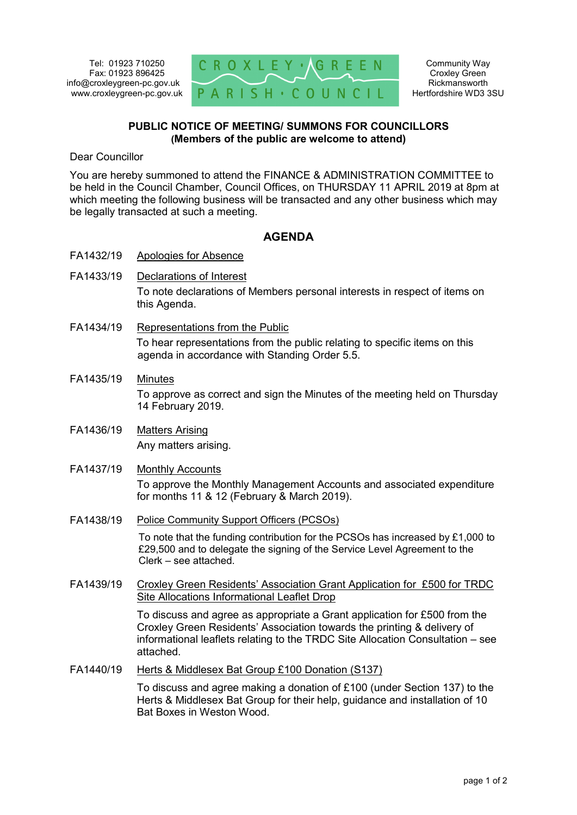

## **PUBLIC NOTICE OF MEETING/ SUMMONS FOR COUNCILLORS (Members of the public are welcome to attend)**

Dear Councillor

You are hereby summoned to attend the FINANCE & ADMINISTRATION COMMITTEE to be held in the Council Chamber, Council Offices, on THURSDAY 11 APRIL 2019 at 8pm at which meeting the following business will be transacted and any other business which may be legally transacted at such a meeting.

## **AGENDA**

- FA1432/19 Apologies for Absence
- FA1433/19 Declarations of Interest To note declarations of Members personal interests in respect of items on this Agenda.
- FA1434/19 Representations from the Public To hear representations from the public relating to specific items on this agenda in accordance with Standing Order 5.5.
- FA1435/19 Minutes To approve as correct and sign the Minutes of the meeting held on Thursday 14 February 2019.
- FA1436/19 Matters Arising Any matters arising.
- FA1437/19 Monthly Accounts To approve the Monthly Management Accounts and associated expenditure for months 11 & 12 (February & March 2019).
- FA1438/19 Police Community Support Officers (PCSOs)

To note that the funding contribution for the PCSOs has increased by £1,000 to £29,500 and to delegate the signing of the Service Level Agreement to the Clerk – see attached.

FA1439/19 Croxley Green Residents' Association Grant Application for £500 for TRDC Site Allocations Informational Leaflet Drop

> To discuss and agree as appropriate a Grant application for £500 from the Croxley Green Residents' Association towards the printing & delivery of informational leaflets relating to the TRDC Site Allocation Consultation – see attached.

FA1440/19 Herts & Middlesex Bat Group £100 Donation (S137)

To discuss and agree making a donation of £100 (under Section 137) to the Herts & Middlesex Bat Group for their help, guidance and installation of 10 Bat Boxes in Weston Wood.